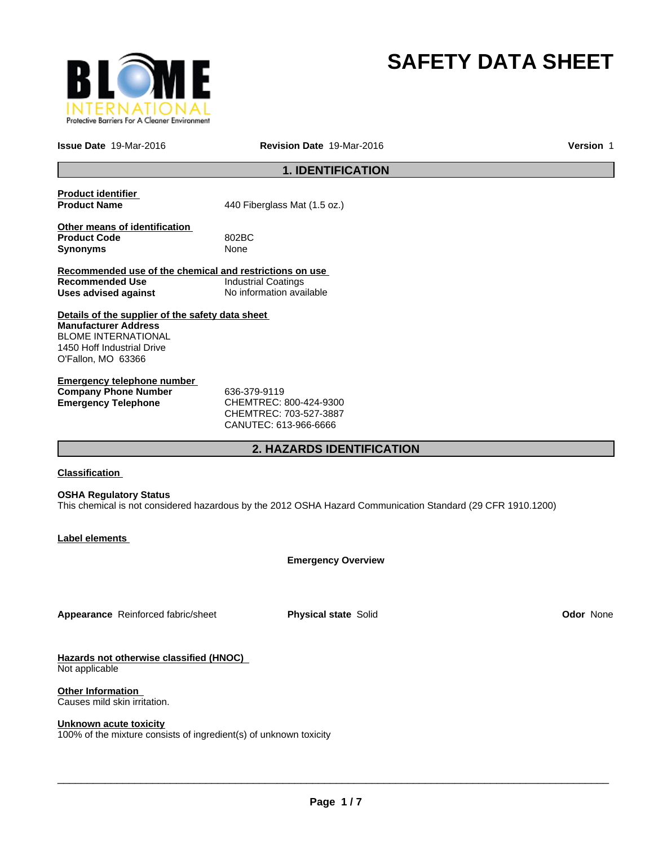

# **SAFETY DATA SHEET**

**Issue Date** 19-Mar-2016

**Revision Date** 19-Mar-2016 **Version** 1

# **1. IDENTIFICATION**

| <b>Product identifier</b><br><b>Product Name</b>                                                                                                                  | 440 Fiberglass Mat (1.5 oz.)                                                                                |
|-------------------------------------------------------------------------------------------------------------------------------------------------------------------|-------------------------------------------------------------------------------------------------------------|
| Other means of identification<br><b>Product Code</b><br>Synonyms                                                                                                  | 802BC<br>None                                                                                               |
| Recommended use of the chemical and restrictions on use<br><b>Recommended Use</b><br><b>Uses advised against</b>                                                  | <b>Industrial Coatings</b><br>No information available                                                      |
| Details of the supplier of the safety data sheet<br><b>Manufacturer Address</b><br><b>BLOME INTERNATIONAL</b><br>1450 Hoff Industrial Drive<br>O'Fallon, MO 63366 |                                                                                                             |
| <b>Emergency telephone number</b><br><b>Company Phone Number</b><br><b>Emergency Telephone</b>                                                                    | 636-379-9119<br>CHEMTREC: 800-424-9300<br>CHEMTREC: 703-527-3887<br>CANUTEC: 613-966-6666                   |
|                                                                                                                                                                   | <b>2. HAZARDS IDENTIFICATION</b>                                                                            |
| Classification<br><b>OSHA Regulatory Status</b>                                                                                                                   | This chemical is not considered hazardous by the 2012 OSHA Hazard Communication Standard (29 CFR 1910.1200) |
| Label elements                                                                                                                                                    |                                                                                                             |
|                                                                                                                                                                   | <b>Emergency Overview</b>                                                                                   |
|                                                                                                                                                                   |                                                                                                             |

**Appearance** Reinforced fabric/sheet **Physical state** Solid **Odor** None

**Hazards not otherwise classified (HNOC)**  Not applicable

**Other Information**  Causes mild skin irritation.

#### **Unknown acute toxicity**

100% of the mixture consists of ingredient(s) of unknown toxicity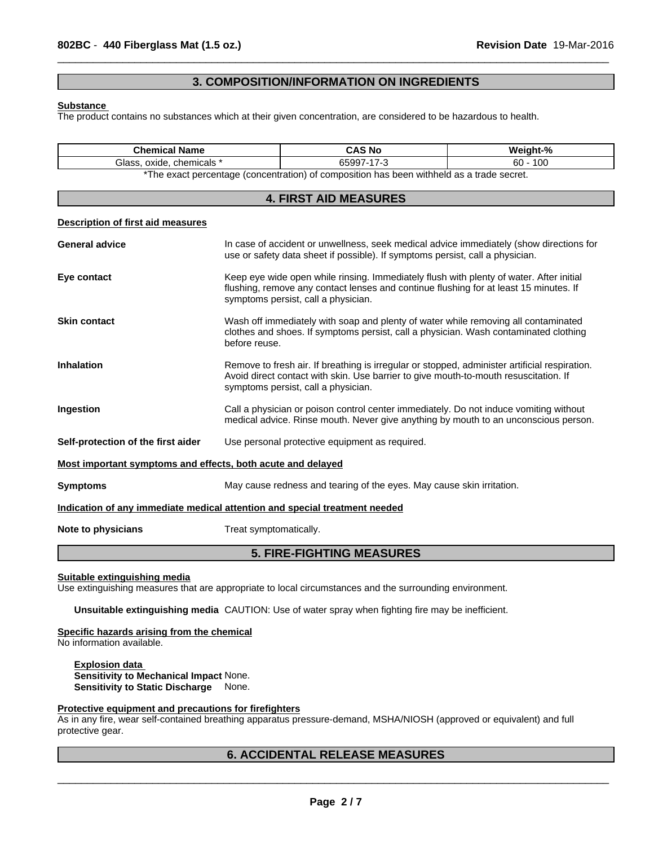## **3. COMPOSITION/INFORMATION ON INGREDIENTS**

 $\overline{\phantom{a}}$  ,  $\overline{\phantom{a}}$  ,  $\overline{\phantom{a}}$  ,  $\overline{\phantom{a}}$  ,  $\overline{\phantom{a}}$  ,  $\overline{\phantom{a}}$  ,  $\overline{\phantom{a}}$  ,  $\overline{\phantom{a}}$  ,  $\overline{\phantom{a}}$  ,  $\overline{\phantom{a}}$  ,  $\overline{\phantom{a}}$  ,  $\overline{\phantom{a}}$  ,  $\overline{\phantom{a}}$  ,  $\overline{\phantom{a}}$  ,  $\overline{\phantom{a}}$  ,  $\overline{\phantom{a}}$ 

#### **Substance**

The product contains no substances which at their given concentration, are considered to be hazardous to health.

| <b>Chemical Name</b>                                                       |                                                       | <b>CAS No</b>                                                                                                                                                                                                           | Weight-%                                                                                                                                                                              |  |
|----------------------------------------------------------------------------|-------------------------------------------------------|-------------------------------------------------------------------------------------------------------------------------------------------------------------------------------------------------------------------------|---------------------------------------------------------------------------------------------------------------------------------------------------------------------------------------|--|
|                                                                            | Glass, oxide, chemicals *<br>65997-17-3<br>$60 - 100$ |                                                                                                                                                                                                                         |                                                                                                                                                                                       |  |
|                                                                            |                                                       | *The exact percentage (concentration) of composition has been withheld as a trade secret.                                                                                                                               |                                                                                                                                                                                       |  |
|                                                                            |                                                       | <b>4. FIRST AID MEASURES</b>                                                                                                                                                                                            |                                                                                                                                                                                       |  |
| <b>Description of first aid measures</b>                                   |                                                       |                                                                                                                                                                                                                         |                                                                                                                                                                                       |  |
| <b>General advice</b>                                                      |                                                       | use or safety data sheet if possible). If symptoms persist, call a physician.                                                                                                                                           | In case of accident or unwellness, seek medical advice immediately (show directions for                                                                                               |  |
| Eye contact                                                                |                                                       | Keep eye wide open while rinsing. Immediately flush with plenty of water. After initial<br>flushing, remove any contact lenses and continue flushing for at least 15 minutes. If<br>symptoms persist, call a physician. |                                                                                                                                                                                       |  |
| <b>Skin contact</b>                                                        | before reuse.                                         |                                                                                                                                                                                                                         | Wash off immediately with soap and plenty of water while removing all contaminated<br>clothes and shoes. If symptoms persist, call a physician. Wash contaminated clothing            |  |
| <b>Inhalation</b>                                                          |                                                       | symptoms persist, call a physician.                                                                                                                                                                                     | Remove to fresh air. If breathing is irregular or stopped, administer artificial respiration.<br>Avoid direct contact with skin. Use barrier to give mouth-to-mouth resuscitation. If |  |
| Ingestion                                                                  |                                                       |                                                                                                                                                                                                                         | Call a physician or poison control center immediately. Do not induce vomiting without<br>medical advice. Rinse mouth. Never give anything by mouth to an unconscious person.          |  |
| Self-protection of the first aider                                         |                                                       | Use personal protective equipment as required.                                                                                                                                                                          |                                                                                                                                                                                       |  |
| Most important symptoms and effects, both acute and delayed                |                                                       |                                                                                                                                                                                                                         |                                                                                                                                                                                       |  |
| <b>Symptoms</b>                                                            |                                                       | May cause redness and tearing of the eyes. May cause skin irritation.                                                                                                                                                   |                                                                                                                                                                                       |  |
| Indication of any immediate medical attention and special treatment needed |                                                       |                                                                                                                                                                                                                         |                                                                                                                                                                                       |  |
| Note to physicians                                                         | Treat symptomatically.                                |                                                                                                                                                                                                                         |                                                                                                                                                                                       |  |

# **5. FIRE-FIGHTING MEASURES**

**Suitable extinguishing media**

Use extinguishing measures that are appropriate to local circumstances and the surrounding environment.

**Unsuitable extinguishing media** CAUTION: Use of water spray when fighting fire may be inefficient.

#### **Specific hazards arising from the chemical**

No information available.

**Explosion data Sensitivity to Mechanical Impact** None. **Sensitivity to Static Discharge** None.

#### **Protective equipment and precautions for firefighters**

As in any fire, wear self-contained breathing apparatus pressure-demand, MSHA/NIOSH (approved or equivalent) and full protective gear.

# **6. ACCIDENTAL RELEASE MEASURES**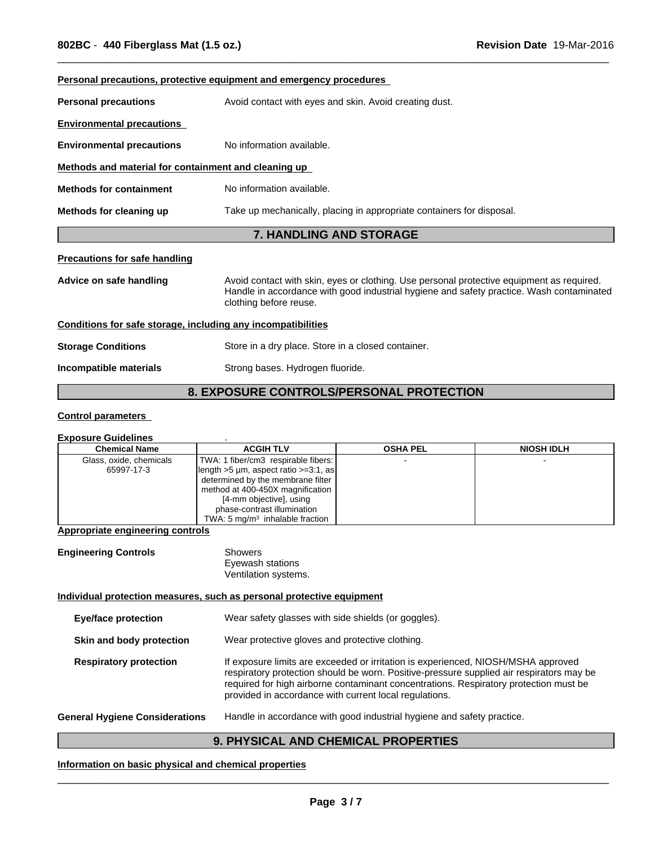|                                                              | <u>Personal precautions, protective equipment and emergency procedures</u>                                                                                                                                      |
|--------------------------------------------------------------|-----------------------------------------------------------------------------------------------------------------------------------------------------------------------------------------------------------------|
| <b>Personal precautions</b>                                  | Avoid contact with eyes and skin. Avoid creating dust.                                                                                                                                                          |
| <b>Environmental precautions</b>                             |                                                                                                                                                                                                                 |
| <b>Environmental precautions</b>                             | No information available.                                                                                                                                                                                       |
| Methods and material for containment and cleaning up         |                                                                                                                                                                                                                 |
| <b>Methods for containment</b>                               | No information available.                                                                                                                                                                                       |
| Methods for cleaning up                                      | Take up mechanically, placing in appropriate containers for disposal.                                                                                                                                           |
|                                                              |                                                                                                                                                                                                                 |
|                                                              | <b>7. HANDLING AND STORAGE</b>                                                                                                                                                                                  |
| <b>Precautions for safe handling</b>                         |                                                                                                                                                                                                                 |
| Advice on safe handling                                      | Avoid contact with skin, eyes or clothing. Use personal protective equipment as required.<br>Handle in accordance with good industrial hygiene and safety practice. Wash contaminated<br>clothing before reuse. |
| Conditions for safe storage, including any incompatibilities |                                                                                                                                                                                                                 |
| <b>Storage Conditions</b>                                    | Store in a dry place. Store in a closed container.                                                                                                                                                              |

 $\overline{\phantom{a}}$  ,  $\overline{\phantom{a}}$  ,  $\overline{\phantom{a}}$  ,  $\overline{\phantom{a}}$  ,  $\overline{\phantom{a}}$  ,  $\overline{\phantom{a}}$  ,  $\overline{\phantom{a}}$  ,  $\overline{\phantom{a}}$  ,  $\overline{\phantom{a}}$  ,  $\overline{\phantom{a}}$  ,  $\overline{\phantom{a}}$  ,  $\overline{\phantom{a}}$  ,  $\overline{\phantom{a}}$  ,  $\overline{\phantom{a}}$  ,  $\overline{\phantom{a}}$  ,  $\overline{\phantom{a}}$ 

# **8. EXPOSURE CONTROLS/PERSONAL PROTECTION**

## **Control parameters**

#### **Exposure Guidelines** .

| <b>Chemical Name</b>    | <b>ACGIH TLV</b>                                      | <b>OSHA PEL</b> | <b>NIOSH IDLH</b> |
|-------------------------|-------------------------------------------------------|-----------------|-------------------|
| Glass, oxide, chemicals | TWA: 1 fiber/cm3 respirable fibers:                   |                 |                   |
| 65997-17-3              | $\left  \right $ length >5 µm, aspect ratio >=3:1, as |                 |                   |
|                         | determined by the membrane filter                     |                 |                   |
|                         | method at 400-450X magnification                      |                 |                   |
|                         | [4-mm objective], using                               |                 |                   |
|                         | phase-contrast illumination                           |                 |                   |
|                         | TWA: 5 $mq/m3$ inhalable fraction                     |                 |                   |

## **Appropriate engineering controls**

| <b>Engineering Controls</b> | Showers              |  |
|-----------------------------|----------------------|--|
|                             | Eyewash stations     |  |
|                             | Ventilation systems. |  |

## **Individual protection measures, such as personal protective equipment**

| <b>Eye/face protection</b>            | Wear safety glasses with side shields (or goggles).                                                                                                                                                                                                                                                                              |
|---------------------------------------|----------------------------------------------------------------------------------------------------------------------------------------------------------------------------------------------------------------------------------------------------------------------------------------------------------------------------------|
| Skin and body protection              | Wear protective gloves and protective clothing.                                                                                                                                                                                                                                                                                  |
| <b>Respiratory protection</b>         | If exposure limits are exceeded or irritation is experienced, NIOSH/MSHA approved<br>respiratory protection should be worn. Positive-pressure supplied air respirators may be<br>required for high airborne contaminant concentrations. Respiratory protection must be<br>provided in accordance with current local regulations. |
| <b>General Hygiene Considerations</b> | Handle in accordance with good industrial hygiene and safety practice.                                                                                                                                                                                                                                                           |

# **9. PHYSICAL AND CHEMICAL PROPERTIES**

## **Information on basic physical and chemical properties**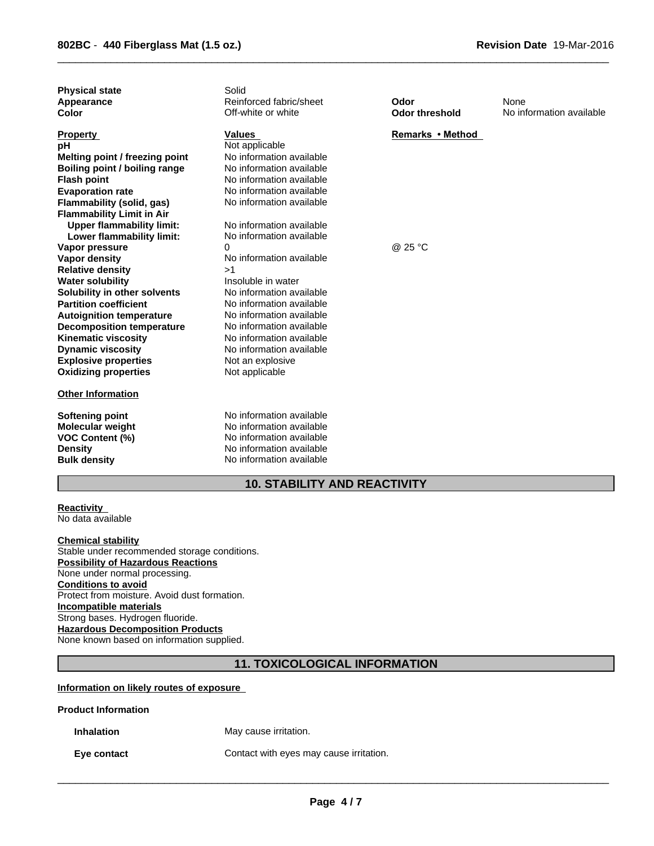| <b>Physical state</b><br>Appearance<br>Color                                                                                                                                                                                                                                                        | Solid<br>Reinforced fabric/sheet<br>Off-white or white                                                                                                                                                                                           | Odor<br><b>Odor threshold</b> | None<br>No information available |
|-----------------------------------------------------------------------------------------------------------------------------------------------------------------------------------------------------------------------------------------------------------------------------------------------------|--------------------------------------------------------------------------------------------------------------------------------------------------------------------------------------------------------------------------------------------------|-------------------------------|----------------------------------|
| <b>Property</b><br>рH<br>Melting point / freezing point<br>Boiling point / boiling range<br><b>Flash point</b><br><b>Evaporation rate</b><br>Flammability (solid, gas)                                                                                                                              | <b>Values</b><br>Not applicable<br>No information available<br>No information available<br>No information available<br>No information available<br>No information available                                                                      | Remarks • Method              |                                  |
| <b>Flammability Limit in Air</b><br><b>Upper flammability limit:</b><br>Lower flammability limit:<br>Vapor pressure                                                                                                                                                                                 | No information available<br>No information available<br>0                                                                                                                                                                                        | @ 25 °C                       |                                  |
| Vapor density<br><b>Relative density</b><br><b>Water solubility</b><br>Solubility in other solvents<br><b>Partition coefficient</b><br><b>Autoignition temperature</b><br><b>Decomposition temperature</b><br><b>Kinematic viscosity</b><br><b>Dynamic viscosity</b><br><b>Explosive properties</b> | No information available<br>>1<br>Insoluble in water<br>No information available<br>No information available<br>No information available<br>No information available<br>No information available<br>No information available<br>Not an explosive |                               |                                  |
| <b>Oxidizing properties</b><br><b>Other Information</b>                                                                                                                                                                                                                                             | Not applicable                                                                                                                                                                                                                                   |                               |                                  |
| Softening point<br><b>Molecular weight</b><br><b>VOC Content (%)</b><br><b>Density</b><br><b>Bulk density</b>                                                                                                                                                                                       | No information available<br>No information available<br>No information available<br>No information available<br>No information available                                                                                                         |                               |                                  |

 $\overline{\phantom{a}}$  ,  $\overline{\phantom{a}}$  ,  $\overline{\phantom{a}}$  ,  $\overline{\phantom{a}}$  ,  $\overline{\phantom{a}}$  ,  $\overline{\phantom{a}}$  ,  $\overline{\phantom{a}}$  ,  $\overline{\phantom{a}}$  ,  $\overline{\phantom{a}}$  ,  $\overline{\phantom{a}}$  ,  $\overline{\phantom{a}}$  ,  $\overline{\phantom{a}}$  ,  $\overline{\phantom{a}}$  ,  $\overline{\phantom{a}}$  ,  $\overline{\phantom{a}}$  ,  $\overline{\phantom{a}}$ 

# **10. STABILITY AND REACTIVITY**

#### **Reactivity**  No data available

**Chemical stability** Stable under recommended storage conditions. **Possibility of Hazardous Reactions** None under normal processing. **Conditions to avoid** Protect from moisture. Avoid dust formation. **Incompatible materials** Strong bases. Hydrogen fluoride. **Hazardous Decomposition Products** None known based on information supplied.

# **11. TOXICOLOGICAL INFORMATION**

## **Information on likely routes of exposure**

## **Product Information**

**Inhalation** May cause irritation.

**Eye contact Contact** Contact with eyes may cause irritation.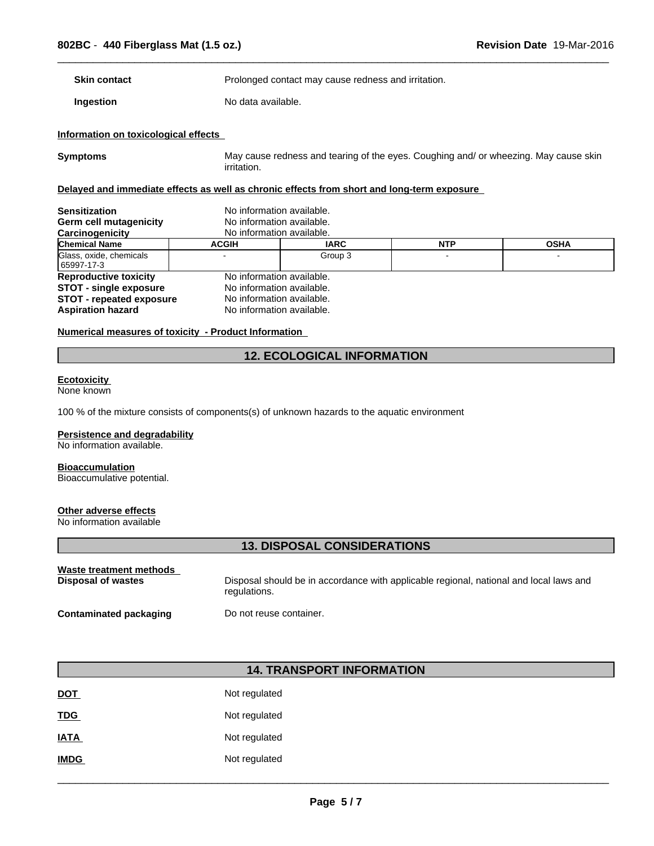**Skin contact Example 2018** Prolonged contact may cause redness and irritation.

**Ingestion** No data available.

## **Information on toxicological effects**

**Symptoms** May cause redness and tearing of the eyes. Coughing and/ or wheezing. May cause skin irritation.

 $\overline{\phantom{a}}$  ,  $\overline{\phantom{a}}$  ,  $\overline{\phantom{a}}$  ,  $\overline{\phantom{a}}$  ,  $\overline{\phantom{a}}$  ,  $\overline{\phantom{a}}$  ,  $\overline{\phantom{a}}$  ,  $\overline{\phantom{a}}$  ,  $\overline{\phantom{a}}$  ,  $\overline{\phantom{a}}$  ,  $\overline{\phantom{a}}$  ,  $\overline{\phantom{a}}$  ,  $\overline{\phantom{a}}$  ,  $\overline{\phantom{a}}$  ,  $\overline{\phantom{a}}$  ,  $\overline{\phantom{a}}$ 

## **Delayed and immediate effects as well as chronic effects from short and long-term exposure**

| <b>Sensitization</b><br>Germ cell mutagenicity<br>Carcinogenicity | No information available.<br>No information available.<br>No information available. |             |            |             |
|-------------------------------------------------------------------|-------------------------------------------------------------------------------------|-------------|------------|-------------|
| <b>Chemical Name</b>                                              | <b>ACGIH</b>                                                                        | <b>IARC</b> | <b>NTP</b> | <b>OSHA</b> |
| Glass, oxide, chemicals<br>65997-17-3                             |                                                                                     | Group 3     |            |             |
| <b>Reproductive toxicity</b><br><b>STOT - single exposure</b>     | No information available.<br>No information available.                              |             |            |             |
| <b>STOT - repeated exposure</b><br><b>Aspiration hazard</b>       | No information available.<br>No information available.                              |             |            |             |

#### **Numerical measures of toxicity - Product Information**

# **12. ECOLOGICAL INFORMATION**

#### **Ecotoxicity**

None known

100 % of the mixture consists of components(s) of unknown hazards to the aquatic environment

#### **Persistence and degradability**

No information available.

## **Bioaccumulation**

Bioaccumulative potential.

## **Other adverse effects**

No information available

# **13. DISPOSAL CONSIDERATIONS**

| Waste treatment methods       | Disposal should be in accordance with applicable regional, national and local laws and |
|-------------------------------|----------------------------------------------------------------------------------------|
| Disposal of wastes            | regulations.                                                                           |
| <b>Contaminated packaging</b> | Do not reuse container.                                                                |

# **14. TRANSPORT INFORMATION**

| <b>DOT</b>  | Not regulated |
|-------------|---------------|
| <u>TDG</u>  | Not regulated |
| <b>IATA</b> | Not regulated |
| <b>IMDG</b> | Not regulated |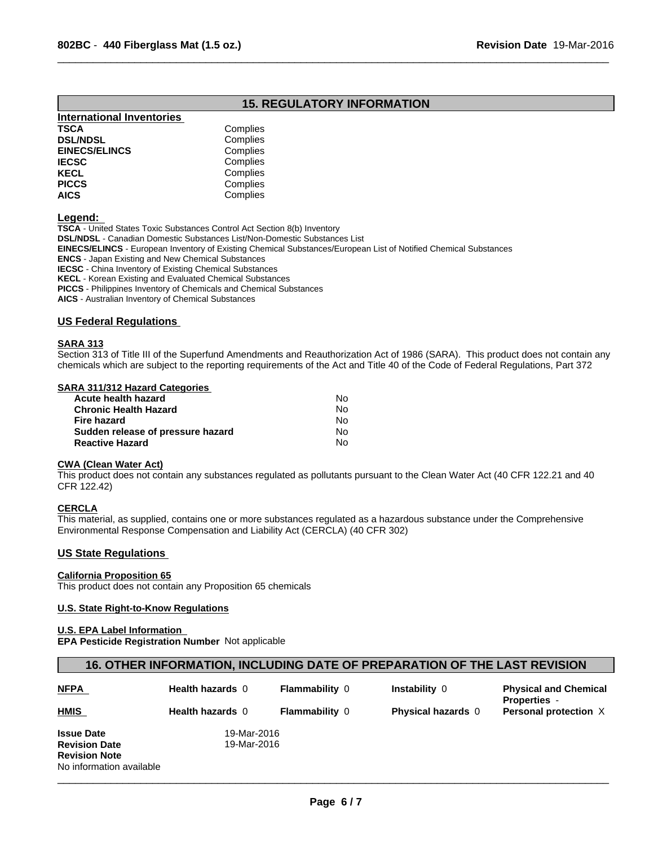# **15. REGULATORY INFORMATION**

 $\overline{\phantom{a}}$  ,  $\overline{\phantom{a}}$  ,  $\overline{\phantom{a}}$  ,  $\overline{\phantom{a}}$  ,  $\overline{\phantom{a}}$  ,  $\overline{\phantom{a}}$  ,  $\overline{\phantom{a}}$  ,  $\overline{\phantom{a}}$  ,  $\overline{\phantom{a}}$  ,  $\overline{\phantom{a}}$  ,  $\overline{\phantom{a}}$  ,  $\overline{\phantom{a}}$  ,  $\overline{\phantom{a}}$  ,  $\overline{\phantom{a}}$  ,  $\overline{\phantom{a}}$  ,  $\overline{\phantom{a}}$ 

| Complies |
|----------|
| Complies |
| Complies |
| Complies |
| Complies |
| Complies |
| Complies |
|          |

**Legend:** 

**TSCA** - United States Toxic Substances Control Act Section 8(b) Inventory

**DSL/NDSL** - Canadian Domestic Substances List/Non-Domestic Substances List

**EINECS/ELINCS** - European Inventory of Existing Chemical Substances/European List of Notified Chemical Substances

**ENCS** - Japan Existing and New Chemical Substances

**IECSC** - China Inventory of Existing Chemical Substances

**KECL** - Korean Existing and Evaluated Chemical Substances

**PICCS** - Philippines Inventory of Chemicals and Chemical Substances

**AICS** - Australian Inventory of Chemical Substances

#### **US Federal Regulations**

#### **SARA 313**

Section 313 of Title III of the Superfund Amendments and Reauthorization Act of 1986 (SARA). This product does not contain any chemicals which are subject to the reporting requirements of the Act and Title 40 of the Code of Federal Regulations, Part 372

## **SARA 311/312 Hazard Categories**

| Acute health hazard               | No. |  |
|-----------------------------------|-----|--|
| Chronic Health Hazard             | No. |  |
| Fire hazard                       | No. |  |
| Sudden release of pressure hazard | No. |  |
| Reactive Hazard                   | N٥  |  |

#### **CWA (Clean Water Act)**

This product does not contain any substances regulated as pollutants pursuant to the Clean Water Act (40 CFR 122.21 and 40 CFR 122.42)

#### **CERCLA**

This material, as supplied, contains one or more substances regulated as a hazardous substance under the Comprehensive Environmental Response Compensation and Liability Act (CERCLA) (40 CFR 302)

## **US State Regulations**

## **California Proposition 65**

This product does not contain any Proposition 65 chemicals

#### **U.S. State Right-to-Know Regulations**

#### **U.S. EPA Label Information**

**EPA Pesticide Registration Number** Not applicable

## **16. OTHER INFORMATION, INCLUDING DATE OF PREPARATION OF THE LAST REVISION**

| <b>NFPA</b>              | <b>Health hazards 0</b> | <b>Flammability 0</b> | Instability 0             | <b>Physical and Chemical</b><br><b>Properties -</b> |
|--------------------------|-------------------------|-----------------------|---------------------------|-----------------------------------------------------|
| <b>HMIS</b>              | Health hazards 0        | <b>Flammability 0</b> | <b>Physical hazards</b> 0 | Personal protection X                               |
| <b>Issue Date</b>        | 19-Mar-2016             |                       |                           |                                                     |
| <b>Revision Date</b>     | 19-Mar-2016             |                       |                           |                                                     |
| <b>Revision Note</b>     |                         |                       |                           |                                                     |
| No information available |                         |                       |                           |                                                     |